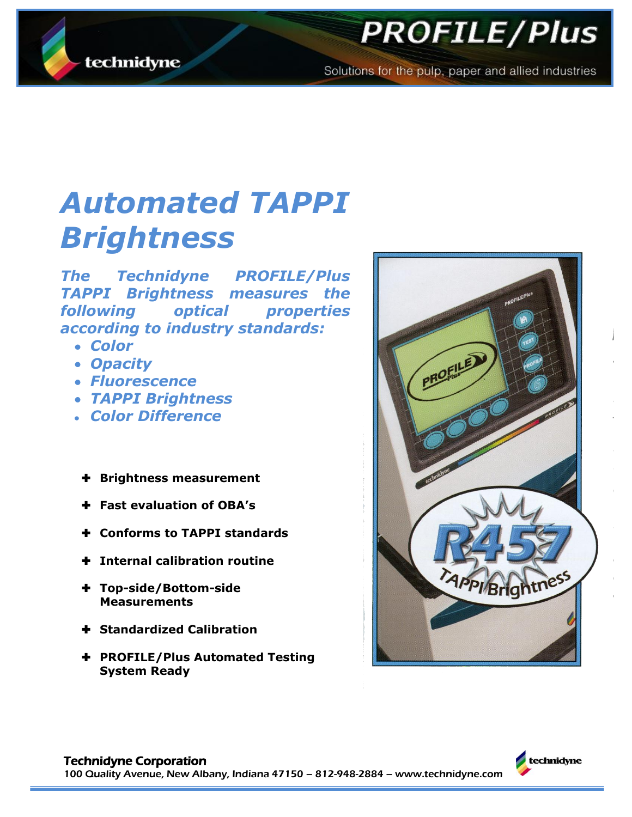

# **PROFILE/Plus**

Solutions for the pulp, paper and allied industries

# *Automated TAPPI Brightness*

*The Technidyne PROFILE/Plus TAPPI Brightness measures the following optical properties according to industry standards:*

- *Color*
- *Opacity*
- *Fluorescence*
- *TAPPI Brightness*
- *Color Difference*
- **Brightness measurement**
- **Fast evaluation of OBA's**
- **Conforms to TAPPI standards**
- **Internal calibration routine**
- **Top-side/Bottom-side Measurements**
- **Standardized Calibration**
- **PROFILE/Plus Automated Testing System Ready**



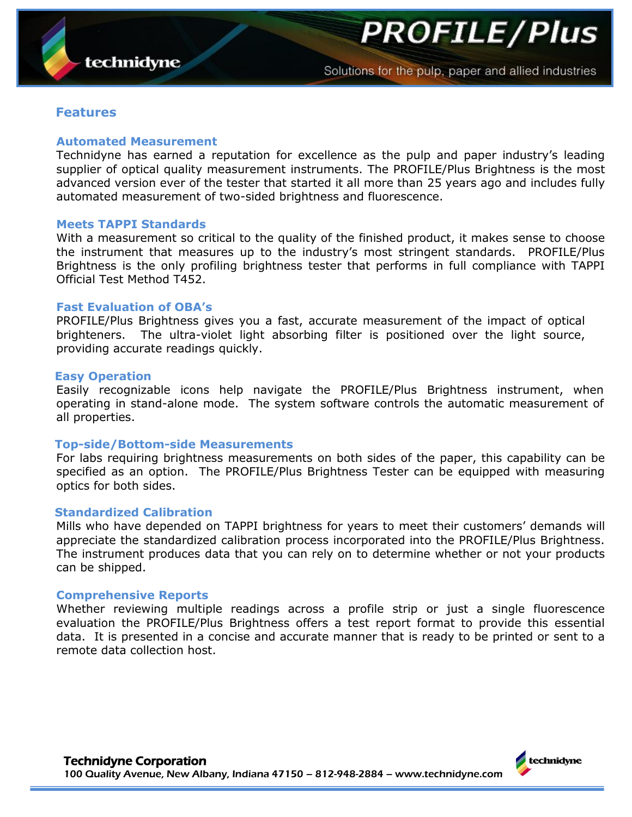**PROFILE/Plus** 

### **Features**

#### **Automated Measurement**

Technidyne has earned a reputation for excellence as the pulp and paper industry's leading supplier of optical quality measurement instruments. The PROFILE/Plus Brightness is the most advanced version ever of the tester that started it all more than 25 years ago and includes fully automated measurement of two-sided brightness and fluorescence.

#### **Meets TAPPI Standards**

With a measurement so critical to the quality of the finished product, it makes sense to choose the instrument that measures up to the industry's most stringent standards. PROFILE/Plus Brightness is the only profiling brightness tester that performs in full compliance with TAPPI Official Test Method T452.

#### **Fast Evaluation of OBA's**

PROFILE/Plus Brightness gives you a fast, accurate measurement of the impact of optical brighteners. The ultra-violet light absorbing filter is positioned over the light source, providing accurate readings quickly.

#### **Easy Operation**

Easily recognizable icons help navigate the PROFILE/Plus Brightness instrument, when operating in stand-alone mode. The system software controls the automatic measurement of all properties.

#### **Top-side/Bottom-side Measurements**

For labs requiring brightness measurements on both sides of the paper, this capability can be specified as an option. The PROFILE/Plus Brightness Tester can be equipped with measuring optics for both sides.

#### **Standardized Calibration**

Mills who have depended on TAPPI brightness for years to meet their customers' demands will appreciate the standardized calibration process incorporated into the PROFILE/Plus Brightness. The instrument produces data that you can rely on to determine whether or not your products can be shipped.

#### **Comprehensive Reports**

Whether reviewing multiple readings across a profile strip or just a single fluorescence evaluation the PROFILE/Plus Brightness offers a test report format to provide this essential data. It is presented in a concise and accurate manner that is ready to be printed or sent to a remote data collection host.

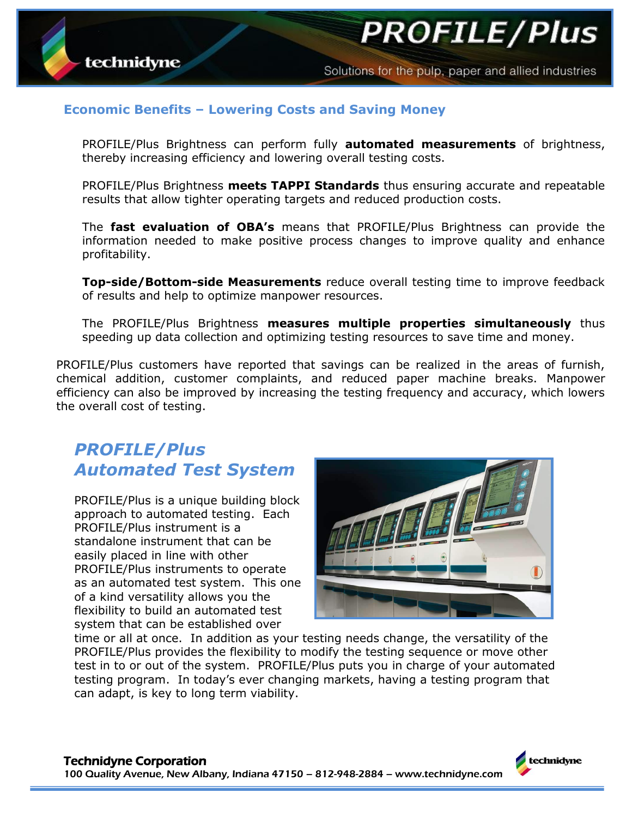#### Solutions for the pulp, paper and allied industries

**PROFILE/Plus** 

## **Economic Benefits – Lowering Costs and Saving Money**

PROFILE/Plus Brightness can perform fully **automated measurements** of brightness, thereby increasing efficiency and lowering overall testing costs.

PROFILE/Plus Brightness **meets TAPPI Standards** thus ensuring accurate and repeatable results that allow tighter operating targets and reduced production costs.

The **fast evaluation of OBA's** means that PROFILE/Plus Brightness can provide the information needed to make positive process changes to improve quality and enhance profitability.

**Top-side/Bottom-side Measurements** reduce overall testing time to improve feedback of results and help to optimize manpower resources.

The PROFILE/Plus Brightness **measures multiple properties simultaneously** thus speeding up data collection and optimizing testing resources to save time and money.

PROFILE/Plus customers have reported that savings can be realized in the areas of furnish, chemical addition, customer complaints, and reduced paper machine breaks. Manpower efficiency can also be improved by increasing the testing frequency and accuracy, which lowers the overall cost of testing.

# *PROFILE/Plus Automated Test System*

PROFILE/Plus is a unique building block approach to automated testing. Each PROFILE/Plus instrument is a standalone instrument that can be easily placed in line with other PROFILE/Plus instruments to operate as an automated test system. This one of a kind versatility allows you the flexibility to build an automated test system that can be established over



time or all at once. In addition as your testing needs change, the versatility of the PROFILE/Plus provides the flexibility to modify the testing sequence or move other test in to or out of the system. PROFILE/Plus puts you in charge of your automated testing program. In today's ever changing markets, having a testing program that can adapt, is key to long term viability.